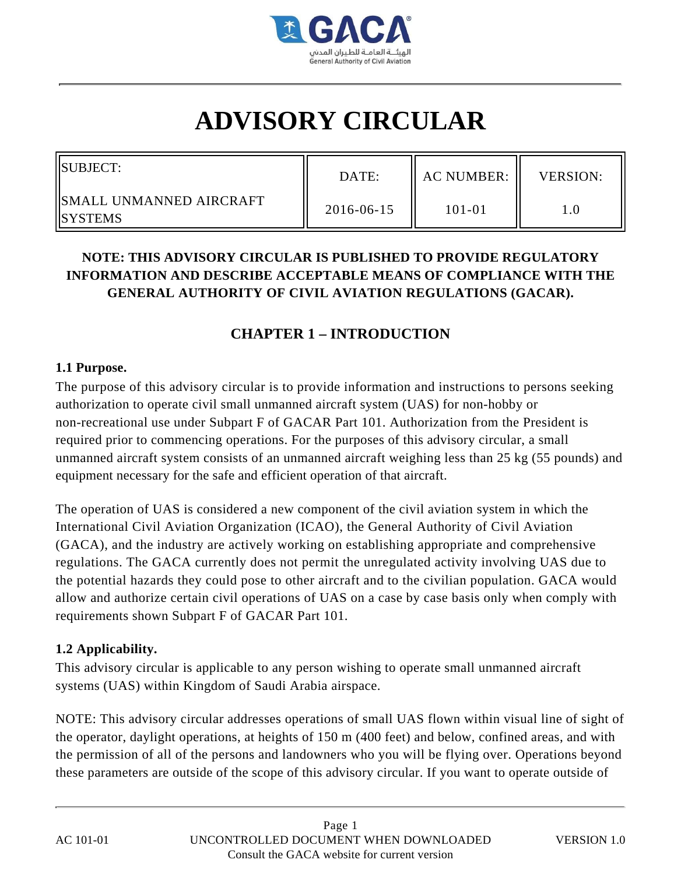

# **ADVISORY CIRCULAR**

| SUBJECT:                                     | DATE:      | <b>AC NUMBER:</b> | <b>VERSION:</b> |
|----------------------------------------------|------------|-------------------|-----------------|
| IISMALL UNMANNED AIRCRAFT<br><b>ISYSTEMS</b> | 2016-06-15 | 101-01            |                 |

# **NOTE: THIS ADVISORY CIRCULAR IS PUBLISHED TO PROVIDE REGULATORY INFORMATION AND DESCRIBE ACCEPTABLE MEANS OF COMPLIANCE WITH THE GENERAL AUTHORITY OF CIVIL AVIATION REGULATIONS (GACAR).**

# **CHAPTER 1 – INTRODUCTION**

#### **1.1 Purpose.**

The purpose of this advisory circular is to provide information and instructions to persons seeking authorization to operate civil small unmanned aircraft system (UAS) for non-hobby or non-recreational use under Subpart F of GACAR Part 101. Authorization from the President is required prior to commencing operations. For the purposes of this advisory circular, a small unmanned aircraft system consists of an unmanned aircraft weighing less than 25 kg (55 pounds) and equipment necessary for the safe and efficient operation of that aircraft.

The operation of UAS is considered a new component of the civil aviation system in which the International Civil Aviation Organization (ICAO), the General Authority of Civil Aviation (GACA), and the industry are actively working on establishing appropriate and comprehensive regulations. The GACA currently does not permit the unregulated activity involving UAS due to the potential hazards they could pose to other aircraft and to the civilian population. GACA would allow and authorize certain civil operations of UAS on a case by case basis only when comply with requirements shown Subpart F of GACAR Part 101.

#### **1.2 Applicability.**

This advisory circular is applicable to any person wishing to operate small unmanned aircraft systems (UAS) within Kingdom of Saudi Arabia airspace.

NOTE: This advisory circular addresses operations of small UAS flown within visual line of sight of the operator, daylight operations, at heights of 150 m (400 feet) and below, confined areas, and with the permission of all of the persons and landowners who you will be flying over. Operations beyond these parameters are outside of the scope of this advisory circular. If you want to operate outside of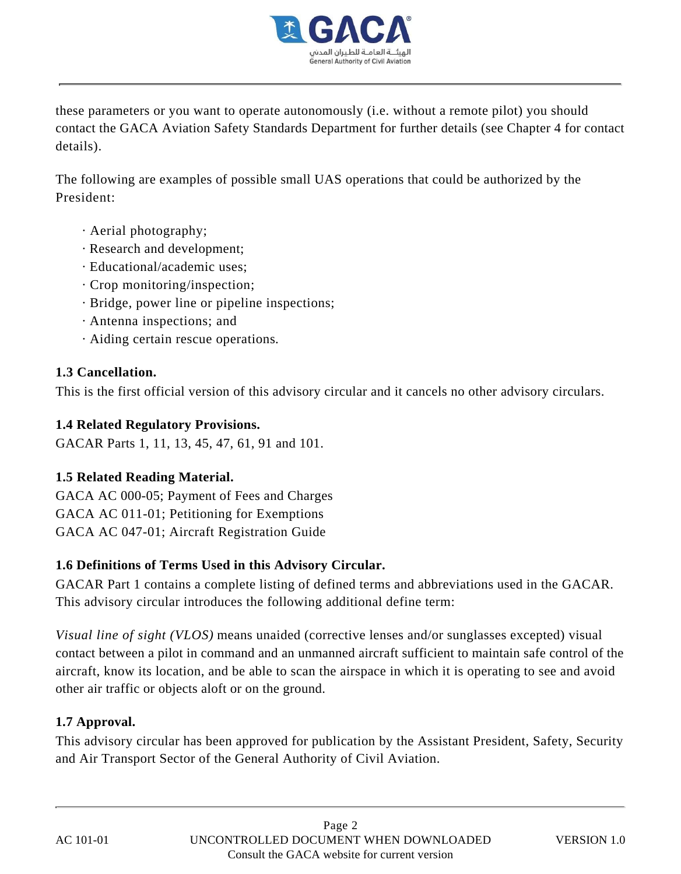

these parameters or you want to operate autonomously (i.e. without a remote pilot) you should contact the GACA Aviation Safety Standards Department for further details (see Chapter 4 for contact details).

The following are examples of possible small UAS operations that could be authorized by the President:

- · Aerial photography;
- · Research and development;
- · Educational/academic uses;
- · Crop monitoring/inspection;
- · Bridge, power line or pipeline inspections;
- · Antenna inspections; and
- · Aiding certain rescue operations.

#### **1.3 Cancellation.**

This is the first official version of this advisory circular and it cancels no other advisory circulars.

#### **1.4 Related Regulatory Provisions.**

GACAR Parts 1, 11, 13, 45, 47, 61, 91 and 101.

## **1.5 Related Reading Material.**

GACA AC 000-05; Payment of Fees and Charges GACA AC 011-01; Petitioning for Exemptions GACA AC 047-01; Aircraft Registration Guide

## **1.6 Definitions of Terms Used in this Advisory Circular.**

GACAR Part 1 contains a complete listing of defined terms and abbreviations used in the GACAR. This advisory circular introduces the following additional define term:

*Visual line of sight (VLOS)* means unaided (corrective lenses and/or sunglasses excepted) visual contact between a pilot in command and an unmanned aircraft sufficient to maintain safe control of the aircraft, know its location, and be able to scan the airspace in which it is operating to see and avoid other air traffic or objects aloft or on the ground.

## **1.7 Approval.**

This advisory circular has been approved for publication by the Assistant President, Safety, Security and Air Transport Sector of the General Authority of Civil Aviation.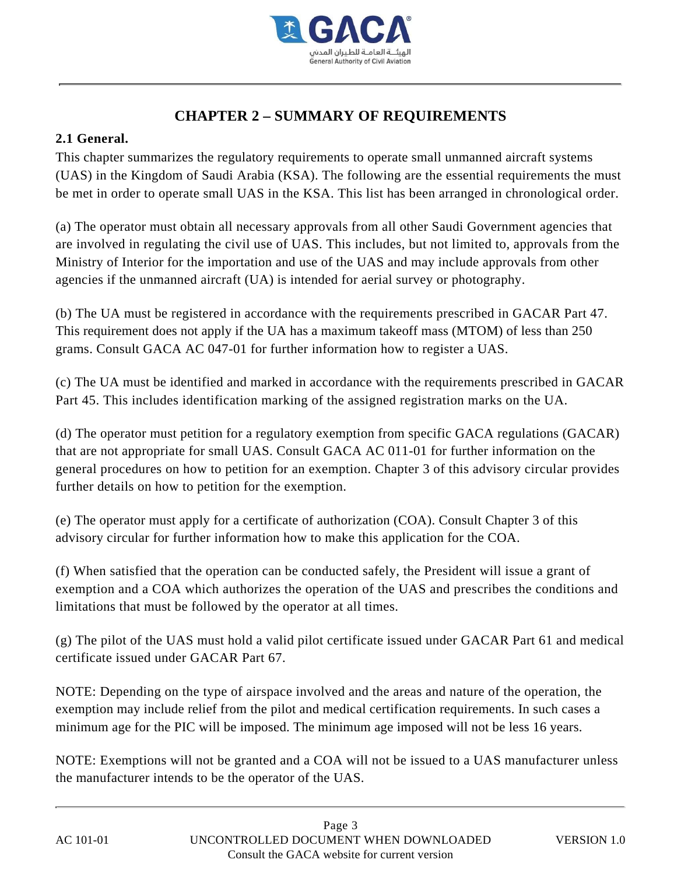

# **CHAPTER 2 – SUMMARY OF REQUIREMENTS**

#### **2.1 General.**

This chapter summarizes the regulatory requirements to operate small unmanned aircraft systems (UAS) in the Kingdom of Saudi Arabia (KSA). The following are the essential requirements the must be met in order to operate small UAS in the KSA. This list has been arranged in chronological order.

(a) The operator must obtain all necessary approvals from all other Saudi Government agencies that are involved in regulating the civil use of UAS. This includes, but not limited to, approvals from the Ministry of Interior for the importation and use of the UAS and may include approvals from other agencies if the unmanned aircraft (UA) is intended for aerial survey or photography.

(b) The UA must be registered in accordance with the requirements prescribed in GACAR Part 47. This requirement does not apply if the UA has a maximum takeoff mass (MTOM) of less than 250 grams. Consult GACA AC 047-01 for further information how to register a UAS.

(c) The UA must be identified and marked in accordance with the requirements prescribed in GACAR Part 45. This includes identification marking of the assigned registration marks on the UA.

(d) The operator must petition for a regulatory exemption from specific GACA regulations (GACAR) that are not appropriate for small UAS. Consult GACA AC 011-01 for further information on the general procedures on how to petition for an exemption. Chapter 3 of this advisory circular provides further details on how to petition for the exemption.

(e) The operator must apply for a certificate of authorization (COA). Consult Chapter 3 of this advisory circular for further information how to make this application for the COA.

(f) When satisfied that the operation can be conducted safely, the President will issue a grant of exemption and a COA which authorizes the operation of the UAS and prescribes the conditions and limitations that must be followed by the operator at all times.

(g) The pilot of the UAS must hold a valid pilot certificate issued under GACAR Part 61 and medical certificate issued under GACAR Part 67.

NOTE: Depending on the type of airspace involved and the areas and nature of the operation, the exemption may include relief from the pilot and medical certification requirements. In such cases a minimum age for the PIC will be imposed. The minimum age imposed will not be less 16 years.

NOTE: Exemptions will not be granted and a COA will not be issued to a UAS manufacturer unless the manufacturer intends to be the operator of the UAS.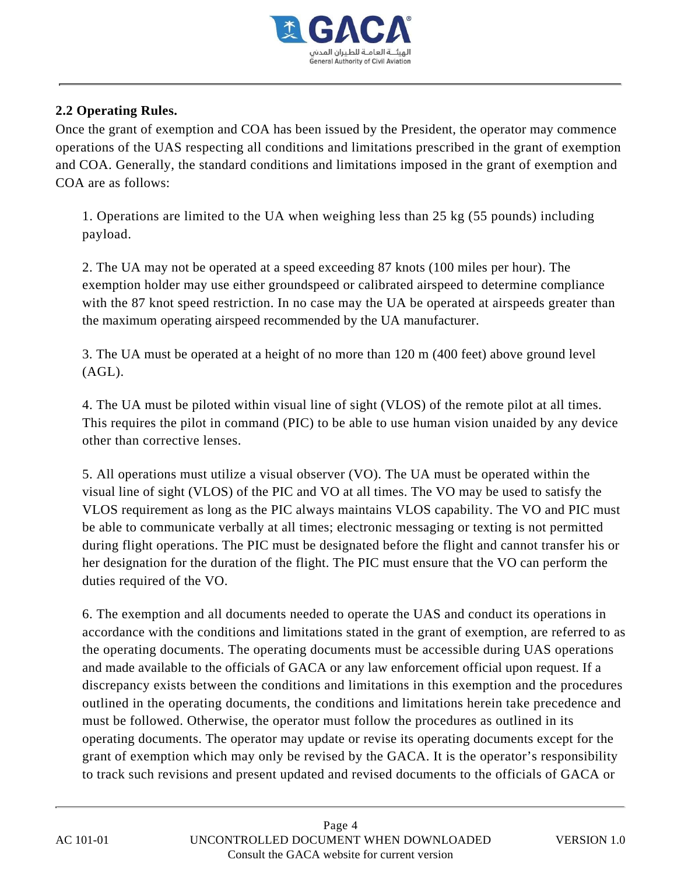

#### **2.2 Operating Rules.**

Once the grant of exemption and COA has been issued by the President, the operator may commence operations of the UAS respecting all conditions and limitations prescribed in the grant of exemption and COA. Generally, the standard conditions and limitations imposed in the grant of exemption and COA are as follows:

1. Operations are limited to the UA when weighing less than 25 kg (55 pounds) including payload.

2. The UA may not be operated at a speed exceeding 87 knots (100 miles per hour). The exemption holder may use either groundspeed or calibrated airspeed to determine compliance with the 87 knot speed restriction. In no case may the UA be operated at airspeeds greater than the maximum operating airspeed recommended by the UA manufacturer.

3. The UA must be operated at a height of no more than 120 m (400 feet) above ground level (AGL).

4. The UA must be piloted within visual line of sight (VLOS) of the remote pilot at all times. This requires the pilot in command (PIC) to be able to use human vision unaided by any device other than corrective lenses.

5. All operations must utilize a visual observer (VO). The UA must be operated within the visual line of sight (VLOS) of the PIC and VO at all times. The VO may be used to satisfy the VLOS requirement as long as the PIC always maintains VLOS capability. The VO and PIC must be able to communicate verbally at all times; electronic messaging or texting is not permitted during flight operations. The PIC must be designated before the flight and cannot transfer his or her designation for the duration of the flight. The PIC must ensure that the VO can perform the duties required of the VO.

6. The exemption and all documents needed to operate the UAS and conduct its operations in accordance with the conditions and limitations stated in the grant of exemption, are referred to as the operating documents. The operating documents must be accessible during UAS operations and made available to the officials of GACA or any law enforcement official upon request. If a discrepancy exists between the conditions and limitations in this exemption and the procedures outlined in the operating documents, the conditions and limitations herein take precedence and must be followed. Otherwise, the operator must follow the procedures as outlined in its operating documents. The operator may update or revise its operating documents except for the grant of exemption which may only be revised by the GACA. It is the operator's responsibility to track such revisions and present updated and revised documents to the officials of GACA or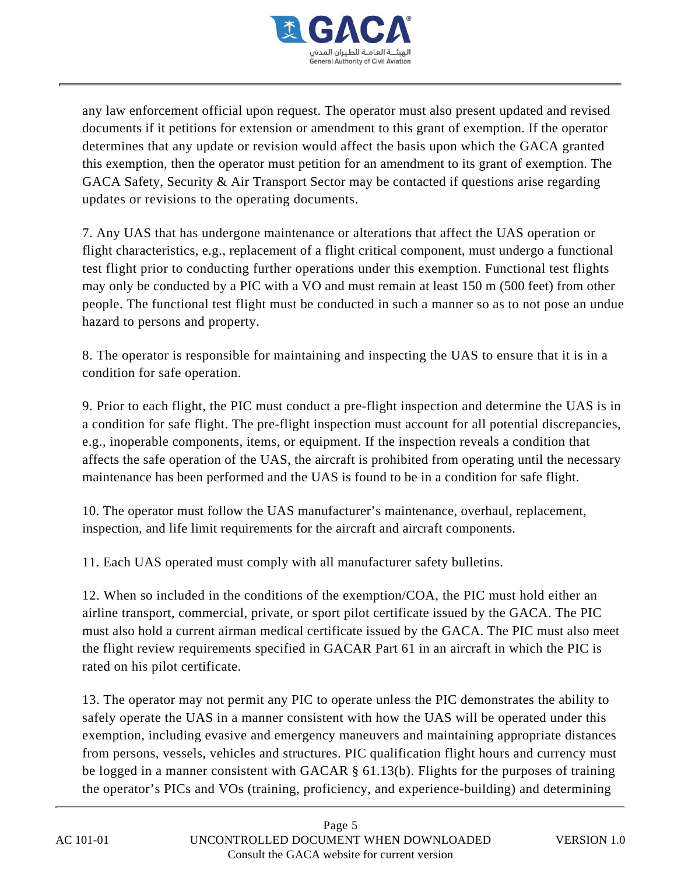

any law enforcement official upon request. The operator must also present updated and revised documents if it petitions for extension or amendment to this grant of exemption. If the operator determines that any update or revision would affect the basis upon which the GACA granted this exemption, then the operator must petition for an amendment to its grant of exemption. The GACA Safety, Security & Air Transport Sector may be contacted if questions arise regarding updates or revisions to the operating documents.

7. Any UAS that has undergone maintenance or alterations that affect the UAS operation or flight characteristics, e.g., replacement of a flight critical component, must undergo a functional test flight prior to conducting further operations under this exemption. Functional test flights may only be conducted by a PIC with a VO and must remain at least 150 m (500 feet) from other people. The functional test flight must be conducted in such a manner so as to not pose an undue hazard to persons and property.

8. The operator is responsible for maintaining and inspecting the UAS to ensure that it is in a condition for safe operation.

9. Prior to each flight, the PIC must conduct a pre-flight inspection and determine the UAS is in a condition for safe flight. The pre-flight inspection must account for all potential discrepancies, e.g., inoperable components, items, or equipment. If the inspection reveals a condition that affects the safe operation of the UAS, the aircraft is prohibited from operating until the necessary maintenance has been performed and the UAS is found to be in a condition for safe flight.

10. The operator must follow the UAS manufacturer's maintenance, overhaul, replacement, inspection, and life limit requirements for the aircraft and aircraft components.

11. Each UAS operated must comply with all manufacturer safety bulletins.

12. When so included in the conditions of the exemption/COA, the PIC must hold either an airline transport, commercial, private, or sport pilot certificate issued by the GACA. The PIC must also hold a current airman medical certificate issued by the GACA. The PIC must also meet the flight review requirements specified in GACAR Part 61 in an aircraft in which the PIC is rated on his pilot certificate.

13. The operator may not permit any PIC to operate unless the PIC demonstrates the ability to safely operate the UAS in a manner consistent with how the UAS will be operated under this exemption, including evasive and emergency maneuvers and maintaining appropriate distances from persons, vessels, vehicles and structures. PIC qualification flight hours and currency must be logged in a manner consistent with GACAR § 61.13(b). Flights for the purposes of training the operator's PICs and VOs (training, proficiency, and experience-building) and determining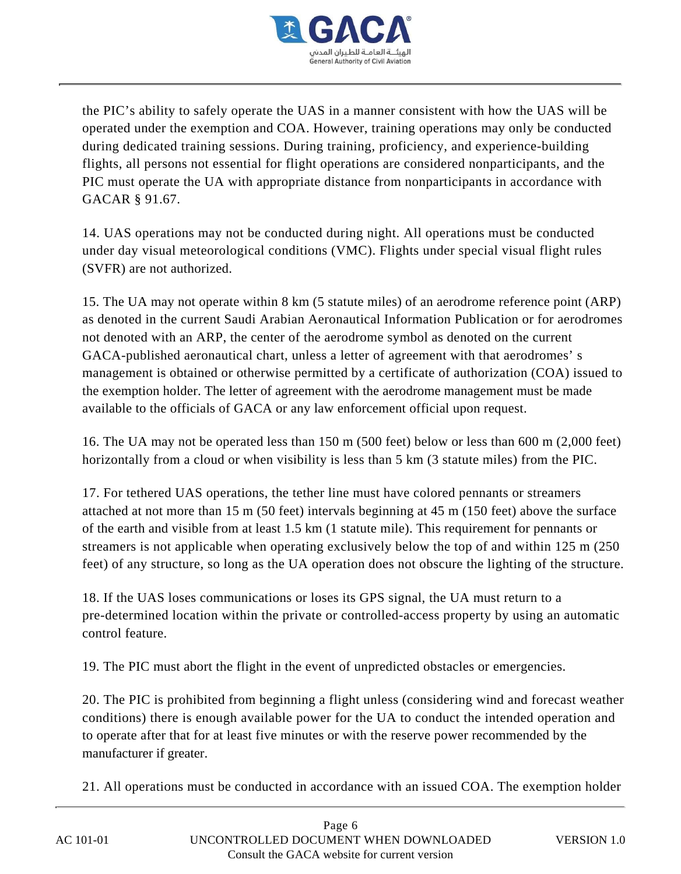

the PIC's ability to safely operate the UAS in a manner consistent with how the UAS will be operated under the exemption and COA. However, training operations may only be conducted during dedicated training sessions. During training, proficiency, and experience-building flights, all persons not essential for flight operations are considered nonparticipants, and the PIC must operate the UA with appropriate distance from nonparticipants in accordance with GACAR § 91.67.

14. UAS operations may not be conducted during night. All operations must be conducted under day visual meteorological conditions (VMC). Flights under special visual flight rules (SVFR) are not authorized.

15. The UA may not operate within 8 km (5 statute miles) of an aerodrome reference point (ARP) as denoted in the current Saudi Arabian Aeronautical Information Publication or for aerodromes not denoted with an ARP, the center of the aerodrome symbol as denoted on the current GACA-published aeronautical chart, unless a letter of agreement with that aerodromes' s management is obtained or otherwise permitted by a certificate of authorization (COA) issued to the exemption holder. The letter of agreement with the aerodrome management must be made available to the officials of GACA or any law enforcement official upon request.

16. The UA may not be operated less than 150 m (500 feet) below or less than 600 m (2,000 feet) horizontally from a cloud or when visibility is less than 5 km (3 statute miles) from the PIC.

17. For tethered UAS operations, the tether line must have colored pennants or streamers attached at not more than 15 m (50 feet) intervals beginning at 45 m (150 feet) above the surface of the earth and visible from at least 1.5 km (1 statute mile). This requirement for pennants or streamers is not applicable when operating exclusively below the top of and within 125 m (250 feet) of any structure, so long as the UA operation does not obscure the lighting of the structure.

18. If the UAS loses communications or loses its GPS signal, the UA must return to a pre-determined location within the private or controlled-access property by using an automatic control feature.

19. The PIC must abort the flight in the event of unpredicted obstacles or emergencies.

20. The PIC is prohibited from beginning a flight unless (considering wind and forecast weather conditions) there is enough available power for the UA to conduct the intended operation and to operate after that for at least five minutes or with the reserve power recommended by the manufacturer if greater.

21. All operations must be conducted in accordance with an issued COA. The exemption holder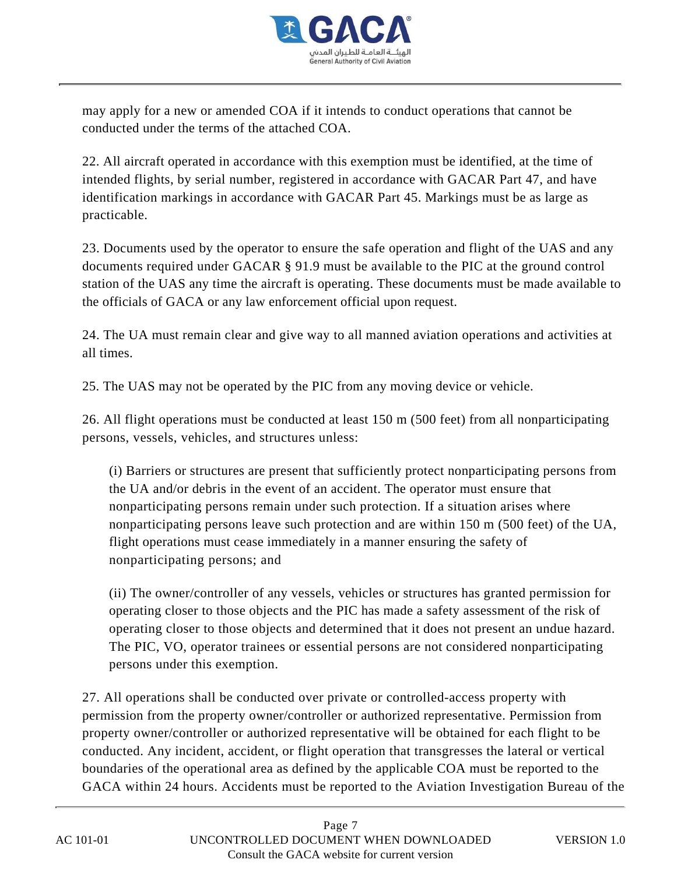

may apply for a new or amended COA if it intends to conduct operations that cannot be conducted under the terms of the attached COA.

22. All aircraft operated in accordance with this exemption must be identified, at the time of intended flights, by serial number, registered in accordance with GACAR Part 47, and have identification markings in accordance with GACAR Part 45. Markings must be as large as practicable.

23. Documents used by the operator to ensure the safe operation and flight of the UAS and any documents required under GACAR § 91.9 must be available to the PIC at the ground control station of the UAS any time the aircraft is operating. These documents must be made available to the officials of GACA or any law enforcement official upon request.

24. The UA must remain clear and give way to all manned aviation operations and activities at all times.

25. The UAS may not be operated by the PIC from any moving device or vehicle.

26. All flight operations must be conducted at least 150 m (500 feet) from all nonparticipating persons, vessels, vehicles, and structures unless:

(i) Barriers or structures are present that sufficiently protect nonparticipating persons from the UA and/or debris in the event of an accident. The operator must ensure that nonparticipating persons remain under such protection. If a situation arises where nonparticipating persons leave such protection and are within 150 m (500 feet) of the UA, flight operations must cease immediately in a manner ensuring the safety of nonparticipating persons; and

(ii) The owner/controller of any vessels, vehicles or structures has granted permission for operating closer to those objects and the PIC has made a safety assessment of the risk of operating closer to those objects and determined that it does not present an undue hazard. The PIC, VO, operator trainees or essential persons are not considered nonparticipating persons under this exemption.

27. All operations shall be conducted over private or controlled-access property with permission from the property owner/controller or authorized representative. Permission from property owner/controller or authorized representative will be obtained for each flight to be conducted. Any incident, accident, or flight operation that transgresses the lateral or vertical boundaries of the operational area as defined by the applicable COA must be reported to the GACA within 24 hours. Accidents must be reported to the Aviation Investigation Bureau of the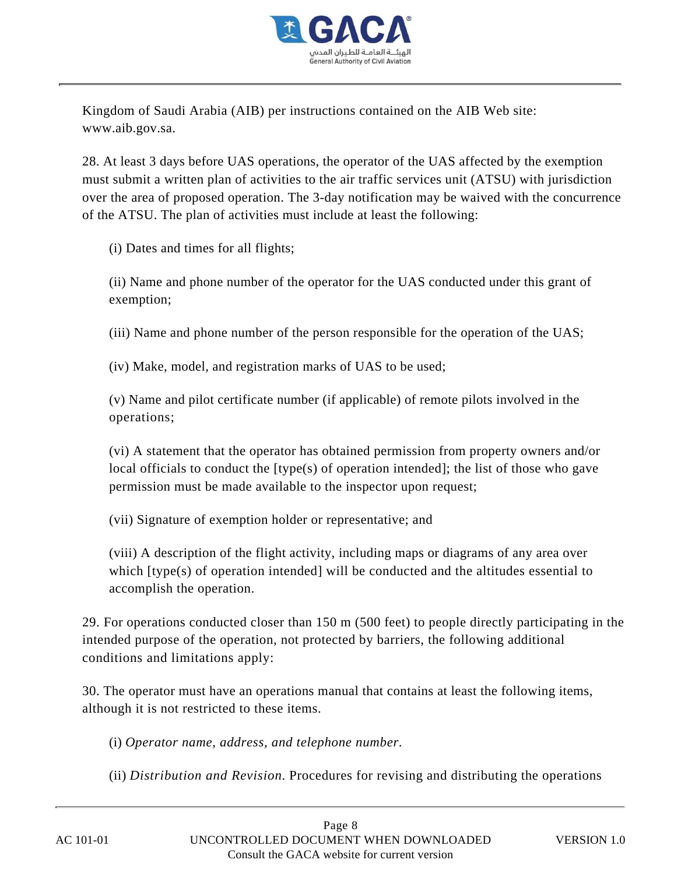

Kingdom of Saudi Arabia (AIB) per instructions contained on the AIB Web site: www.aib.gov.sa.

28. At least 3 days before UAS operations, the operator of the UAS affected by the exemption must submit a written plan of activities to the air traffic services unit (ATSU) with jurisdiction over the area of proposed operation. The 3-day notification may be waived with the concurrence of the ATSU. The plan of activities must include at least the following:

(i) Dates and times for all flights;

(ii) Name and phone number of the operator for the UAS conducted under this grant of exemption;

(iii) Name and phone number of the person responsible for the operation of the UAS;

(iv) Make, model, and registration marks of UAS to be used;

(v) Name and pilot certificate number (if applicable) of remote pilots involved in the operations;

(vi) A statement that the operator has obtained permission from property owners and/or local officials to conduct the [type(s) of operation intended]; the list of those who gave permission must be made available to the inspector upon request;

(vii) Signature of exemption holder or representative; and

(viii) A description of the flight activity, including maps or diagrams of any area over which [type(s) of operation intended] will be conducted and the altitudes essential to accomplish the operation.

29. For operations conducted closer than 150 m (500 feet) to people directly participating in the intended purpose of the operation, not protected by barriers, the following additional conditions and limitations apply:

30. The operator must have an operations manual that contains at least the following items, although it is not restricted to these items.

(i) *Operator name, address, and telephone number.*

(ii) *Distribution and Revision.* Procedures for revising and distributing the operations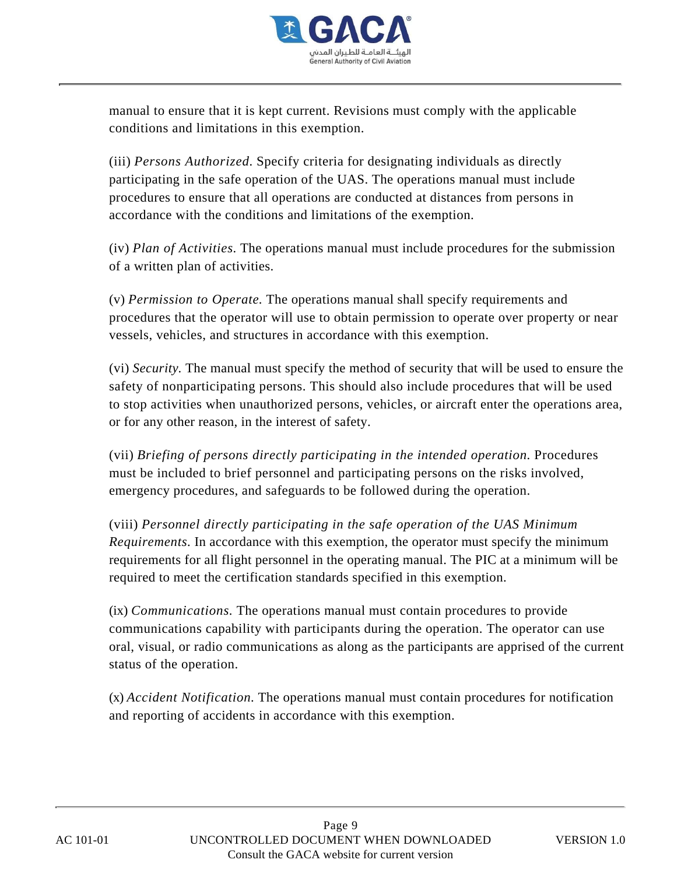

manual to ensure that it is kept current. Revisions must comply with the applicable conditions and limitations in this exemption.

(iii) *Persons Authorized.* Specify criteria for designating individuals as directly participating in the safe operation of the UAS. The operations manual must include procedures to ensure that all operations are conducted at distances from persons in accordance with the conditions and limitations of the exemption.

(iv) *Plan of Activities.* The operations manual must include procedures for the submission of a written plan of activities.

(v) *Permission to Operate.* The operations manual shall specify requirements and procedures that the operator will use to obtain permission to operate over property or near vessels, vehicles, and structures in accordance with this exemption.

(vi) *Security.* The manual must specify the method of security that will be used to ensure the safety of nonparticipating persons. This should also include procedures that will be used to stop activities when unauthorized persons, vehicles, or aircraft enter the operations area, or for any other reason, in the interest of safety.

(vii) *Briefing of persons directly participating in the intended operation.* Procedures must be included to brief personnel and participating persons on the risks involved, emergency procedures, and safeguards to be followed during the operation.

(viii) *Personnel directly participating in the safe operation of the UAS Minimum Requirements.* In accordance with this exemption, the operator must specify the minimum requirements for all flight personnel in the operating manual. The PIC at a minimum will be required to meet the certification standards specified in this exemption.

(ix) *Communications.* The operations manual must contain procedures to provide communications capability with participants during the operation. The operator can use oral, visual, or radio communications as along as the participants are apprised of the current status of the operation.

(x) *Accident Notification.* The operations manual must contain procedures for notification and reporting of accidents in accordance with this exemption.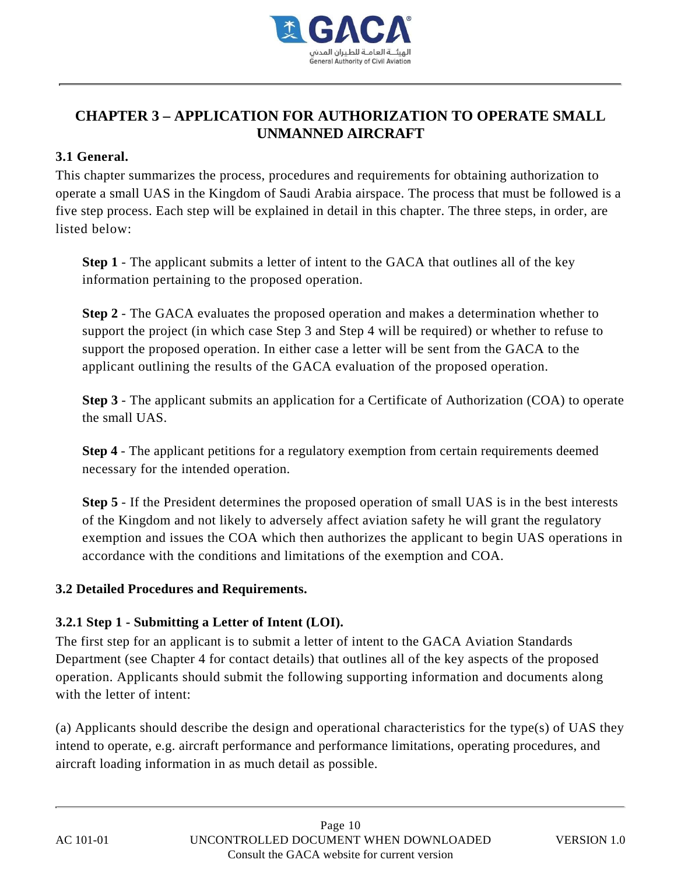

# **CHAPTER 3 – APPLICATION FOR AUTHORIZATION TO OPERATE SMALL UNMANNED AIRCRAFT**

#### **3.1 General.**

This chapter summarizes the process, procedures and requirements for obtaining authorization to operate a small UAS in the Kingdom of Saudi Arabia airspace. The process that must be followed is a five step process. Each step will be explained in detail in this chapter. The three steps, in order, are listed below:

**Step 1** - The applicant submits a letter of intent to the GACA that outlines all of the key information pertaining to the proposed operation.

**Step 2** - The GACA evaluates the proposed operation and makes a determination whether to support the project (in which case Step 3 and Step 4 will be required) or whether to refuse to support the proposed operation. In either case a letter will be sent from the GACA to the applicant outlining the results of the GACA evaluation of the proposed operation.

**Step 3** - The applicant submits an application for a Certificate of Authorization (COA) to operate the small UAS.

**Step 4** - The applicant petitions for a regulatory exemption from certain requirements deemed necessary for the intended operation.

**Step 5** - If the President determines the proposed operation of small UAS is in the best interests of the Kingdom and not likely to adversely affect aviation safety he will grant the regulatory exemption and issues the COA which then authorizes the applicant to begin UAS operations in accordance with the conditions and limitations of the exemption and COA.

#### **3.2 Detailed Procedures and Requirements.**

## **3.2.1 Step 1 - Submitting a Letter of Intent (LOI).**

The first step for an applicant is to submit a letter of intent to the GACA Aviation Standards Department (see Chapter 4 for contact details) that outlines all of the key aspects of the proposed operation. Applicants should submit the following supporting information and documents along with the letter of intent:

(a) Applicants should describe the design and operational characteristics for the type(s) of UAS they intend to operate, e.g. aircraft performance and performance limitations, operating procedures, and aircraft loading information in as much detail as possible.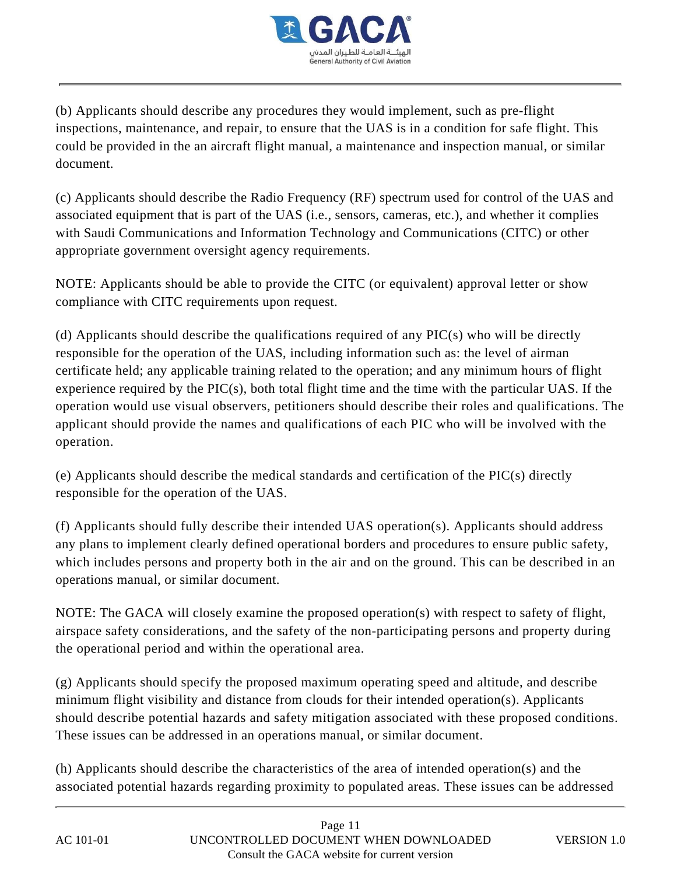

(b) Applicants should describe any procedures they would implement, such as pre-flight inspections, maintenance, and repair, to ensure that the UAS is in a condition for safe flight. This could be provided in the an aircraft flight manual, a maintenance and inspection manual, or similar document.

(c) Applicants should describe the Radio Frequency (RF) spectrum used for control of the UAS and associated equipment that is part of the UAS (i.e., sensors, cameras, etc.), and whether it complies with Saudi Communications and Information Technology and Communications (CITC) or other appropriate government oversight agency requirements.

NOTE: Applicants should be able to provide the CITC (or equivalent) approval letter or show compliance with CITC requirements upon request.

(d) Applicants should describe the qualifications required of any  $\text{PIC}(s)$  who will be directly responsible for the operation of the UAS, including information such as: the level of airman certificate held; any applicable training related to the operation; and any minimum hours of flight experience required by the PIC(s), both total flight time and the time with the particular UAS. If the operation would use visual observers, petitioners should describe their roles and qualifications. The applicant should provide the names and qualifications of each PIC who will be involved with the operation.

(e) Applicants should describe the medical standards and certification of the PIC(s) directly responsible for the operation of the UAS.

(f) Applicants should fully describe their intended UAS operation(s). Applicants should address any plans to implement clearly defined operational borders and procedures to ensure public safety, which includes persons and property both in the air and on the ground. This can be described in an operations manual, or similar document.

NOTE: The GACA will closely examine the proposed operation(s) with respect to safety of flight, airspace safety considerations, and the safety of the non-participating persons and property during the operational period and within the operational area.

(g) Applicants should specify the proposed maximum operating speed and altitude, and describe minimum flight visibility and distance from clouds for their intended operation(s). Applicants should describe potential hazards and safety mitigation associated with these proposed conditions. These issues can be addressed in an operations manual, or similar document.

(h) Applicants should describe the characteristics of the area of intended operation(s) and the associated potential hazards regarding proximity to populated areas. These issues can be addressed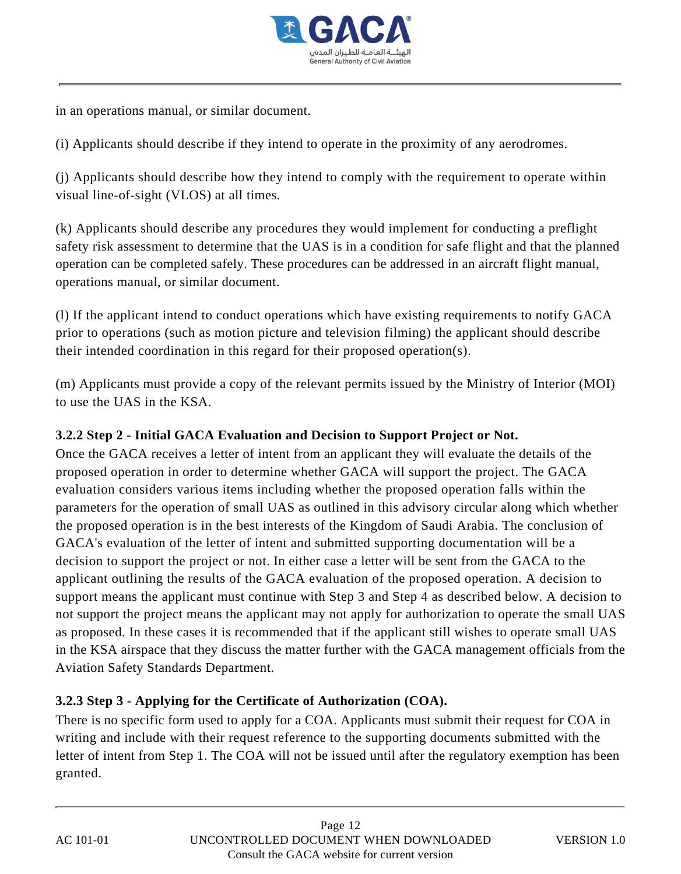

in an operations manual, or similar document.

(i) Applicants should describe if they intend to operate in the proximity of any aerodromes.

(j) Applicants should describe how they intend to comply with the requirement to operate within visual line-of-sight (VLOS) at all times.

(k) Applicants should describe any procedures they would implement for conducting a preflight safety risk assessment to determine that the UAS is in a condition for safe flight and that the planned operation can be completed safely. These procedures can be addressed in an aircraft flight manual, operations manual, or similar document.

(l) If the applicant intend to conduct operations which have existing requirements to notify GACA prior to operations (such as motion picture and television filming) the applicant should describe their intended coordination in this regard for their proposed operation(s).

(m) Applicants must provide a copy of the relevant permits issued by the Ministry of Interior (MOI) to use the UAS in the KSA.

#### **3.2.2 Step 2 - Initial GACA Evaluation and Decision to Support Project or Not.**

Once the GACA receives a letter of intent from an applicant they will evaluate the details of the proposed operation in order to determine whether GACA will support the project. The GACA evaluation considers various items including whether the proposed operation falls within the parameters for the operation of small UAS as outlined in this advisory circular along which whether the proposed operation is in the best interests of the Kingdom of Saudi Arabia. The conclusion of GACA's evaluation of the letter of intent and submitted supporting documentation will be a decision to support the project or not. In either case a letter will be sent from the GACA to the applicant outlining the results of the GACA evaluation of the proposed operation. A decision to support means the applicant must continue with Step 3 and Step 4 as described below. A decision to not support the project means the applicant may not apply for authorization to operate the small UAS as proposed. In these cases it is recommended that if the applicant still wishes to operate small UAS in the KSA airspace that they discuss the matter further with the GACA management officials from the Aviation Safety Standards Department.

#### **3.2.3 Step 3 - Applying for the Certificate of Authorization (COA).**

There is no specific form used to apply for a COA. Applicants must submit their request for COA in writing and include with their request reference to the supporting documents submitted with the letter of intent from Step 1. The COA will not be issued until after the regulatory exemption has been granted.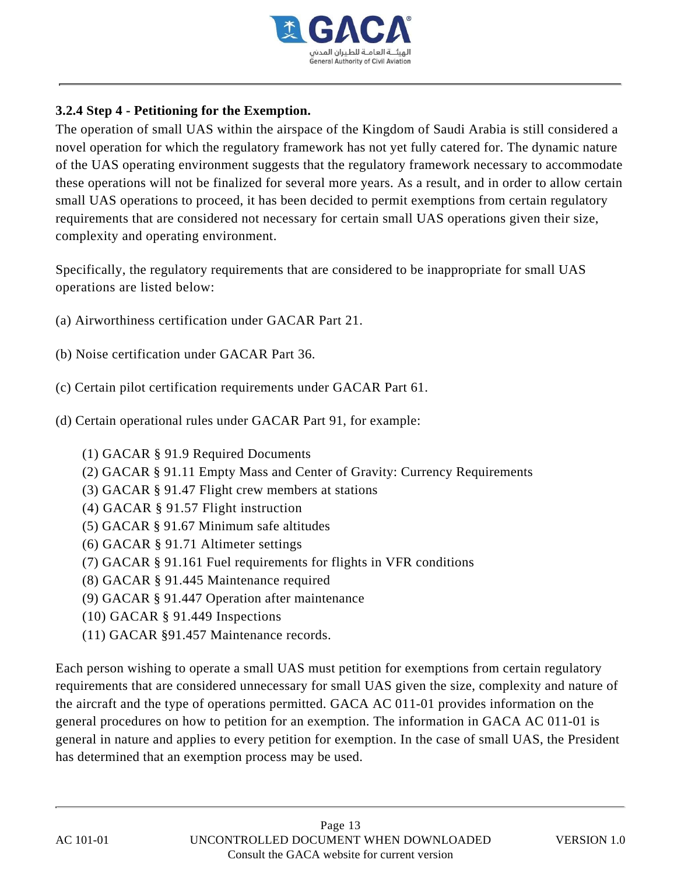

## **3.2.4 Step 4 - Petitioning for the Exemption.**

The operation of small UAS within the airspace of the Kingdom of Saudi Arabia is still considered a novel operation for which the regulatory framework has not yet fully catered for. The dynamic nature of the UAS operating environment suggests that the regulatory framework necessary to accommodate these operations will not be finalized for several more years. As a result, and in order to allow certain small UAS operations to proceed, it has been decided to permit exemptions from certain regulatory requirements that are considered not necessary for certain small UAS operations given their size, complexity and operating environment.

Specifically, the regulatory requirements that are considered to be inappropriate for small UAS operations are listed below:

- (a) Airworthiness certification under GACAR Part 21.
- (b) Noise certification under GACAR Part 36.
- (c) Certain pilot certification requirements under GACAR Part 61.
- (d) Certain operational rules under GACAR Part 91, for example:
	- (1) GACAR § 91.9 Required Documents
	- (2) GACAR § 91.11 Empty Mass and Center of Gravity: Currency Requirements
	- (3) GACAR § 91.47 Flight crew members at stations
	- (4) GACAR § 91.57 Flight instruction
	- (5) GACAR § 91.67 Minimum safe altitudes
	- (6) GACAR § 91.71 Altimeter settings
	- (7) GACAR § 91.161 Fuel requirements for flights in VFR conditions
	- (8) GACAR § 91.445 Maintenance required
	- (9) GACAR § 91.447 Operation after maintenance
	- (10) GACAR § 91.449 Inspections
	- (11) GACAR §91.457 Maintenance records.

Each person wishing to operate a small UAS must petition for exemptions from certain regulatory requirements that are considered unnecessary for small UAS given the size, complexity and nature of the aircraft and the type of operations permitted. GACA AC 011-01 provides information on the general procedures on how to petition for an exemption. The information in GACA AC 011-01 is general in nature and applies to every petition for exemption. In the case of small UAS, the President has determined that an exemption process may be used.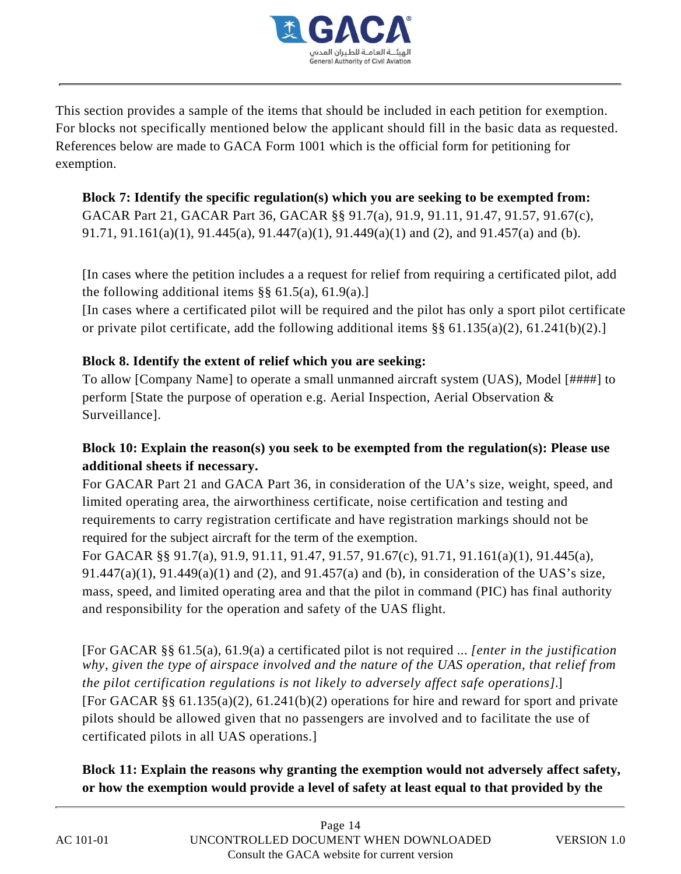

This section provides a sample of the items that should be included in each petition for exemption. For blocks not specifically mentioned below the applicant should fill in the basic data as requested. References below are made to GACA Form 1001 which is the official form for petitioning for exemption.

**Block 7: Identify the specific regulation(s) which you are seeking to be exempted from:** GACAR Part 21, GACAR Part 36, GACAR §§ 91.7(a), 91.9, 91.11, 91.47, 91.57, 91.67(c), 91.71, 91.161(a)(1), 91.445(a), 91.447(a)(1), 91.449(a)(1) and (2), and 91.457(a) and (b).

[In cases where the petition includes a a request for relief from requiring a certificated pilot, add the following additional items  $\S\S 61.5(a)$ , 61.9(a).]

[In cases where a certificated pilot will be required and the pilot has only a sport pilot certificate or private pilot certificate, add the following additional items  $\S$ § 61.135(a)(2), 61.241(b)(2).]

## **Block 8. Identify the extent of relief which you are seeking:**

To allow [Company Name] to operate a small unmanned aircraft system (UAS), Model [####] to perform [State the purpose of operation e.g. Aerial Inspection, Aerial Observation & Surveillance].

# **Block 10: Explain the reason(s) you seek to be exempted from the regulation(s): Please use additional sheets if necessary.**

For GACAR Part 21 and GACA Part 36, in consideration of the UA's size, weight, speed, and limited operating area, the airworthiness certificate, noise certification and testing and requirements to carry registration certificate and have registration markings should not be required for the subject aircraft for the term of the exemption.

For GACAR §§ 91.7(a), 91.9, 91.11, 91.47, 91.57, 91.67(c), 91.71, 91.161(a)(1), 91.445(a), 91.447(a)(1), 91.449(a)(1) and (2), and 91.457(a) and (b), in consideration of the UAS's size, mass, speed, and limited operating area and that the pilot in command (PIC) has final authority and responsibility for the operation and safety of the UAS flight.

[For GACAR §§ 61.5(a), 61.9(a) a certificated pilot is not required ... *[enter in the justification why, given the type of airspace involved and the nature of the UAS operation, that relief from the pilot certification regulations is not likely to adversely affect safe operations]*.] [For GACAR §§ 61.135(a)(2), 61.241(b)(2) operations for hire and reward for sport and private pilots should be allowed given that no passengers are involved and to facilitate the use of certificated pilots in all UAS operations.]

**Block 11: Explain the reasons why granting the exemption would not adversely affect safety, or how the exemption would provide a level of safety at least equal to that provided by the**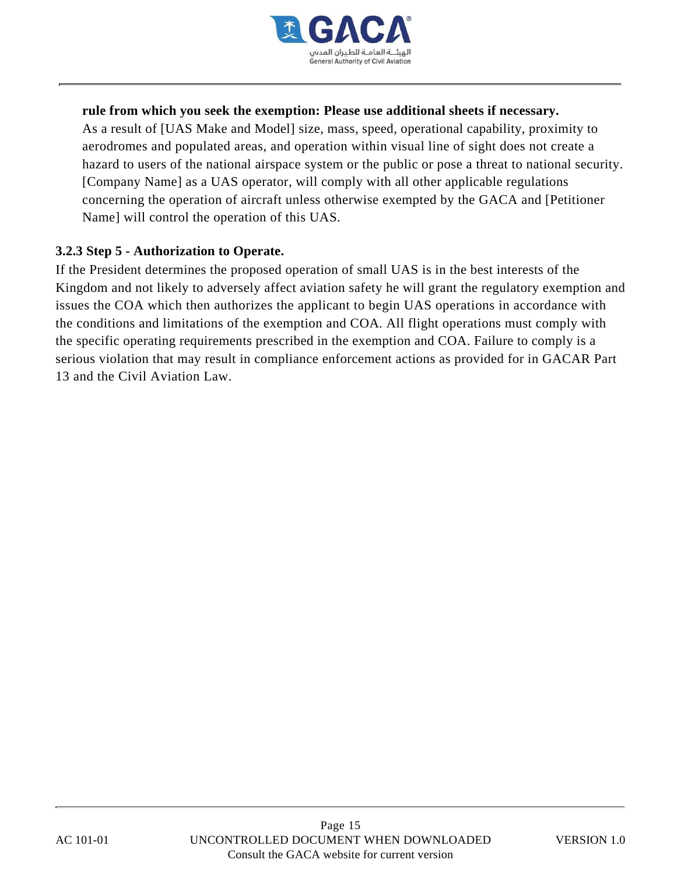

#### **rule from which you seek the exemption: Please use additional sheets if necessary.**

As a result of [UAS Make and Model] size, mass, speed, operational capability, proximity to aerodromes and populated areas, and operation within visual line of sight does not create a hazard to users of the national airspace system or the public or pose a threat to national security. [Company Name] as a UAS operator, will comply with all other applicable regulations concerning the operation of aircraft unless otherwise exempted by the GACA and [Petitioner Name] will control the operation of this UAS.

#### **3.2.3 Step 5 - Authorization to Operate.**

If the President determines the proposed operation of small UAS is in the best interests of the Kingdom and not likely to adversely affect aviation safety he will grant the regulatory exemption and issues the COA which then authorizes the applicant to begin UAS operations in accordance with the conditions and limitations of the exemption and COA. All flight operations must comply with the specific operating requirements prescribed in the exemption and COA. Failure to comply is a serious violation that may result in compliance enforcement actions as provided for in GACAR Part 13 and the Civil Aviation Law.